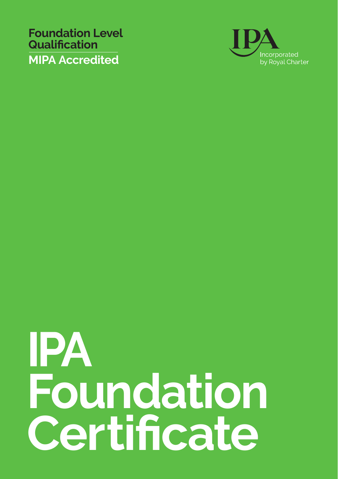**Foundation Level Qualification MIPA Accredited**



## **IPA Foundation Certificate**